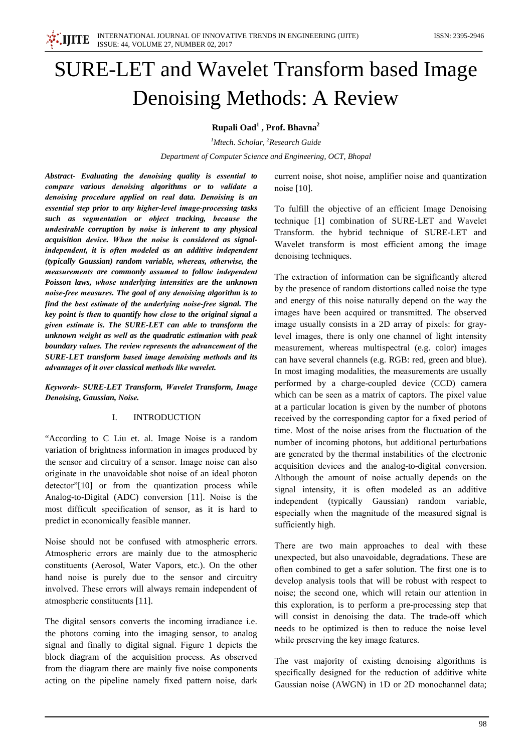

# **SURE-LET and Wavelet Transform based Image Denoising Methods: A Review**

Rupali Oad<sup>1</sup>, Prof. Bhavna<sup>2</sup>

<sup>1</sup>Mtech. Scholar, <sup>2</sup>Research Guide Department of Computer Science and Engineering, OCT, Bhopal

Abstract- Evaluating the denoising quality is essential to compare various denoising algorithms or to validate a denoising procedure applied on real data. Denoising is an essential step prior to any higher-level image-processing tasks such as segmentation or object tracking, because the undesirable corruption by noise is inherent to any physical acquisition device. When the noise is considered as signalindependent, it is often modeled as an additive independent (typically Gaussian) random variable, whereas, otherwise, the measurements are commonly assumed to follow independent Poisson laws, whose underlying intensities are the unknown noise-free measures. The goal of any denoising algorithm is to find the best estimate of the underlying noise-free signal. The key point is then to quantify how close to the original signal a given estimate is. The SURE-LET can able to transform the unknown weight as well as the quadratic estimation with peak boundary values. The review represents the advancement of the SURE-LET transform based image denoising methods and its advantages of it over classical methods like wavelet.

Keywords- SURE-LET Transform, Wavelet Transform, Image Denoising, Gaussian, Noise.

### **INTRODUCTION**  $\mathbf{I}$

"According to C Liu et. al. Image Noise is a random variation of brightness information in images produced by the sensor and circuitry of a sensor. Image noise can also originate in the unavoidable shot noise of an ideal photon detector"[10] or from the quantization process while Analog-to-Digital (ADC) conversion [11]. Noise is the most difficult specification of sensor, as it is hard to predict in economically feasible manner.

Noise should not be confused with atmospheric errors. Atmospheric errors are mainly due to the atmospheric constituents (Aerosol, Water Vapors, etc.). On the other hand noise is purely due to the sensor and circuitry involved. These errors will always remain independent of atmospheric constituents [11].

The digital sensors converts the incoming irradiance i.e. the photons coming into the imaging sensor, to analog signal and finally to digital signal. Figure 1 depicts the block diagram of the acquisition process. As observed from the diagram there are mainly five noise components acting on the pipeline namely fixed pattern noise, dark

current noise, shot noise, amplifier noise and quantization noise [10].

To fulfill the objective of an efficient Image Denoising technique [1] combination of SURE-LET and Wavelet Transform, the hybrid technique of SURE-LET and Wavelet transform is most efficient among the image denoising techniques.

The extraction of information can be significantly altered by the presence of random distortions called noise the type and energy of this noise naturally depend on the way the images have been acquired or transmitted. The observed image usually consists in a 2D array of pixels: for graylevel images, there is only one channel of light intensity measurement, whereas multispectral (e.g. color) images can have several channels (e.g. RGB: red, green and blue). In most imaging modalities, the measurements are usually performed by a charge-coupled device (CCD) camera which can be seen as a matrix of captors. The pixel value at a particular location is given by the number of photons received by the corresponding captor for a fixed period of time. Most of the noise arises from the fluctuation of the number of incoming photons, but additional perturbations are generated by the thermal instabilities of the electronic acquisition devices and the analog-to-digital conversion. Although the amount of noise actually depends on the signal intensity, it is often modeled as an additive independent (typically Gaussian) random variable, especially when the magnitude of the measured signal is sufficiently high.

There are two main approaches to deal with these unexpected, but also unavoidable, degradations. These are often combined to get a safer solution. The first one is to develop analysis tools that will be robust with respect to noise; the second one, which will retain our attention in this exploration, is to perform a pre-processing step that will consist in denoising the data. The trade-off which needs to be optimized is then to reduce the noise level while preserving the key image features.

The vast majority of existing denoising algorithms is specifically designed for the reduction of additive white Gaussian noise (AWGN) in 1D or 2D monochannel data;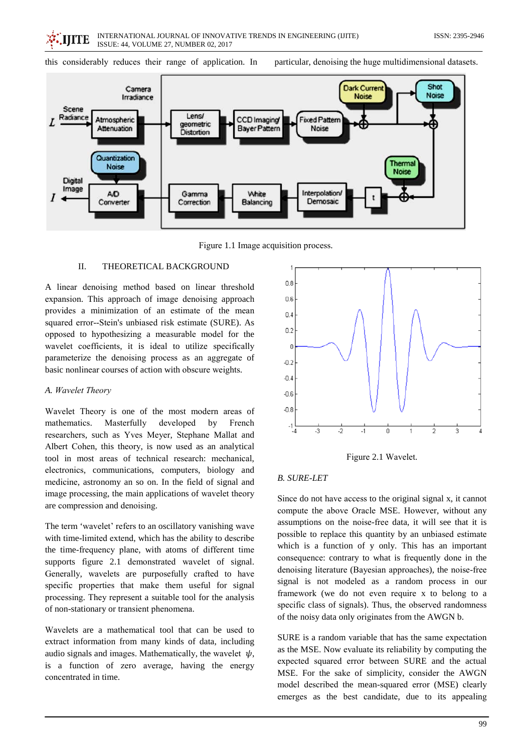ISSN: 2395-2946



particular, denoising the huge multidimensional datasets.



Figure 1.1 Image acquisition process.

#### II. THEORETICAL BACKGROUND

A linear denoising method based on linear threshold expansion. This approach of image denoising approach provides a minimization of an estimate of the mean squared error--Stein's unbiased risk estimate (SURE). As opposed to hypothesizing a measurable model for the wavelet coefficients, it is ideal to utilize specifically parameterize the denoising process as an aggregate of basic nonlinear courses of action with obscure weights.

## A. Wavelet Theory

Wavelet Theory is one of the most modern areas of mathematics. Masterfully developed by French researchers, such as Yves Meyer, Stephane Mallat and Albert Cohen, this theory, is now used as an analytical tool in most areas of technical research: mechanical, electronics, communications, computers, biology and medicine, astronomy an so on. In the field of signal and image processing, the main applications of wavelet theory are compression and denoising.

The term 'wavelet' refers to an oscillatory vanishing wave with time-limited extend, which has the ability to describe the time-frequency plane, with atoms of different time supports figure 2.1 demonstrated wavelet of signal. Generally, wavelets are purposefully crafted to have specific properties that make them useful for signal processing. They represent a suitable tool for the analysis of non-stationary or transient phenomena.

Wavelets are a mathematical tool that can be used to extract information from many kinds of data, including audio signals and images. Mathematically, the wavelet  $\psi$ , is a function of zero average, having the energy concentrated in time.



Figure 2.1 Wavelet.

## **B. SURE-LET**

Since do not have access to the original signal x, it cannot compute the above Oracle MSE. However, without any assumptions on the noise-free data, it will see that it is possible to replace this quantity by an unbiased estimate which is a function of y only. This has an important consequence: contrary to what is frequently done in the denoising literature (Bayesian approaches), the noise-free signal is not modeled as a random process in our framework (we do not even require x to belong to a specific class of signals). Thus, the observed randomness of the noisy data only originates from the AWGN b.

SURE is a random variable that has the same expectation as the MSE. Now evaluate its reliability by computing the expected squared error between SURE and the actual MSE. For the sake of simplicity, consider the AWGN model described the mean-squared error (MSE) clearly emerges as the best candidate, due to its appealing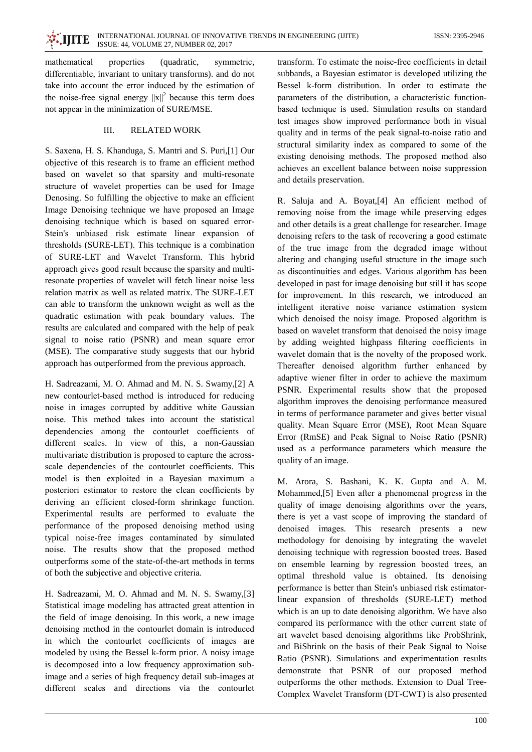INTERNATIONAL JOURNAL OF INNOVATIVE TRENDS IN ENGINEERING (IJITE) ISSUE: 44, VOLUME 27, NUMBER 02, 2017

mathematical properties (quadratic, symmetric, differentiable, invariant to unitary transforms). and do not take into account the error induced by the estimation of the noise-free signal energy  $||x||^2$  because this term does not appear in the minimization of SURE/MSE.

 $\ddot{\cdot}$  internal  $\ddot{\cdot}$ 

## $III$ **RELATED WORK**

S. Saxena, H. S. Khanduga, S. Mantri and S. Puri,[1] Our objective of this research is to frame an efficient method based on wavelet so that sparsity and multi-resonate structure of wavelet properties can be used for Image Denosing. So fulfilling the objective to make an efficient Image Denoising technique we have proposed an Image denoising technique which is based on squared error-Stein's unbiased risk estimate linear expansion of thresholds (SURE-LET). This technique is a combination of SURE-LET and Wavelet Transform. This hybrid approach gives good result because the sparsity and multiresonate properties of wavelet will fetch linear noise less relation matrix as well as related matrix. The SURE-LET can able to transform the unknown weight as well as the quadratic estimation with peak boundary values. The results are calculated and compared with the help of peak signal to noise ratio (PSNR) and mean square error (MSE). The comparative study suggests that our hybrid approach has outperformed from the previous approach.

H. Sadreazami, M. O. Ahmad and M. N. S. Swamy,[2] A new contourlet-based method is introduced for reducing noise in images corrupted by additive white Gaussian noise. This method takes into account the statistical dependencies among the contourlet coefficients of different scales. In view of this, a non-Gaussian multivariate distribution is proposed to capture the acrossscale dependencies of the contourlet coefficients. This model is then exploited in a Bayesian maximum a posteriori estimator to restore the clean coefficients by deriving an efficient closed-form shrinkage function. Experimental results are performed to evaluate the performance of the proposed denoising method using typical noise-free images contaminated by simulated noise. The results show that the proposed method outperforms some of the state-of-the-art methods in terms of both the subjective and objective criteria.

H. Sadreazami, M. O. Ahmad and M. N. S. Swamy, [3] Statistical image modeling has attracted great attention in the field of image denoising. In this work, a new image denoising method in the contourlet domain is introduced in which the contourlet coefficients of images are modeled by using the Bessel k-form prior. A noisy image is decomposed into a low frequency approximation subimage and a series of high frequency detail sub-images at different scales and directions via the contourlet

transform. To estimate the noise-free coefficients in detail subbands, a Bayesian estimator is developed utilizing the Bessel k-form distribution. In order to estimate the parameters of the distribution, a characteristic functionbased technique is used. Simulation results on standard test images show improved performance both in visual quality and in terms of the peak signal-to-noise ratio and structural similarity index as compared to some of the existing denoising methods. The proposed method also achieves an excellent balance between noise suppression and details preservation.

R. Saluja and A. Boyat, [4] An efficient method of removing noise from the image while preserving edges and other details is a great challenge for researcher. Image denoising refers to the task of recovering a good estimate of the true image from the degraded image without altering and changing useful structure in the image such as discontinuities and edges. Various algorithm has been developed in past for image denoising but still it has scope for improvement. In this research, we introduced an intelligent iterative noise variance estimation system which denoised the noisy image. Proposed algorithm is based on wavelet transform that denoised the noisy image by adding weighted highpass filtering coefficients in wavelet domain that is the novelty of the proposed work. Thereafter denoised algorithm further enhanced by adaptive wiener filter in order to achieve the maximum PSNR. Experimental results show that the proposed algorithm improves the denoising performance measured in terms of performance parameter and gives better visual quality. Mean Square Error (MSE), Root Mean Square Error (RmSE) and Peak Signal to Noise Ratio (PSNR) used as a performance parameters which measure the quality of an image.

M. Arora, S. Bashani, K. K. Gupta and A. M. Mohammed, [5] Even after a phenomenal progress in the quality of image denoising algorithms over the years, there is yet a vast scope of improving the standard of denoised images. This research presents a new methodology for denoising by integrating the wavelet denoising technique with regression boosted trees. Based on ensemble learning by regression boosted trees, an optimal threshold value is obtained. Its denoising performance is better than Stein's unbiased risk estimatorlinear expansion of thresholds (SURE-LET) method which is an up to date denoising algorithm. We have also compared its performance with the other current state of art wavelet based denoising algorithms like ProbShrink, and BiShrink on the basis of their Peak Signal to Noise Ratio (PSNR). Simulations and experimentation results demonstrate that PSNR of our proposed method outperforms the other methods. Extension to Dual Tree-Complex Wavelet Transform (DT-CWT) is also presented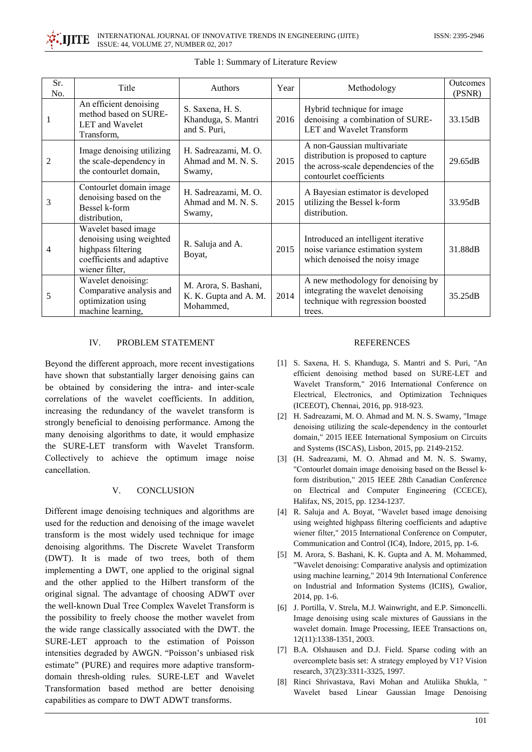

| Sr.<br>No. | Title                                                                                                                | Authors                                                     | Year | Methodology                                                                                                                           | Outcomes<br>(PSNR) |
|------------|----------------------------------------------------------------------------------------------------------------------|-------------------------------------------------------------|------|---------------------------------------------------------------------------------------------------------------------------------------|--------------------|
|            | An efficient denoising<br>method based on SURE-<br>LET and Wavelet<br>Transform,                                     | S. Saxena, H. S.<br>Khanduga, S. Mantri<br>and S. Puri,     | 2016 | Hybrid technique for image<br>denoising a combination of SURE-<br>LET and Wavelet Transform                                           | 33.15dB            |
| 2          | Image denoising utilizing<br>the scale-dependency in<br>the contourlet domain,                                       | H. Sadreazami, M. O.<br>Ahmad and M. N. S.<br>Swamy,        | 2015 | A non-Gaussian multivariate<br>distribution is proposed to capture<br>the across-scale dependencies of the<br>contourlet coefficients | 29.65dB            |
| 3          | Contourlet domain image<br>denoising based on the<br>Bessel k-form<br>distribution,                                  | H. Sadreazami, M. O.<br>Ahmad and M. N. S.<br>Swamy,        | 2015 | A Bayesian estimator is developed<br>utilizing the Bessel k-form<br>distribution.                                                     | 33.95dB            |
| 4          | Wavelet based image<br>denoising using weighted<br>highpass filtering<br>coefficients and adaptive<br>wiener filter, | R. Saluja and A.<br>Boyat,                                  | 2015 | Introduced an intelligent iterative<br>noise variance estimation system<br>which denoised the noisy image                             | 31.88dB            |
| 5          | Wavelet denoising:<br>Comparative analysis and<br>optimization using<br>machine learning,                            | M. Arora, S. Bashani,<br>K. K. Gupta and A. M.<br>Mohammed, | 2014 | A new methodology for denoising by<br>integrating the wavelet denoising<br>technique with regression boosted<br>trees.                | 35.25dB            |

Table 1: Summary of Literature Review

#### $IV.$ PROBLEM STATEMENT

Beyond the different approach, more recent investigations have shown that substantially larger denoising gains can be obtained by considering the intra- and inter-scale correlations of the wavelet coefficients. In addition, increasing the redundancy of the wavelet transform is strongly beneficial to denoising performance. Among the many denoising algorithms to date, it would emphasize the SURE-LET transform with Wavelet Transform. Collectively to achieve the optimum image noise cancellation.

#### $V_{\cdot}$ **CONCLUSION**

Different image denoising techniques and algorithms are used for the reduction and denoising of the image wavelet transform is the most widely used technique for image denoising algorithms. The Discrete Wavelet Transform (DWT). It is made of two trees, both of them implementing a DWT, one applied to the original signal and the other applied to the Hilbert transform of the original signal. The advantage of choosing ADWT over the well-known Dual Tree Complex Wavelet Transform is the possibility to freely choose the mother wavelet from the wide range classically associated with the DWT. the SURE-LET approach to the estimation of Poisson intensities degraded by AWGN. "Poisson's unbiased risk estimate" (PURE) and requires more adaptive transformdomain thresh-olding rules. SURE-LET and Wavelet Transformation based method are better denoising capabilities as compare to DWT ADWT transforms.

## **REFERENCES**

- [1] S. Saxena, H. S. Khanduga, S. Mantri and S. Puri, "An efficient denoising method based on SURE-LET and Wavelet Transform," 2016 International Conference on Electrical, Electronics, and Optimization Techniques (ICEEOT), Chennai, 2016, pp. 918-923.
- [2] H. Sadreazami, M. O. Ahmad and M. N. S. Swamy, "Image denoising utilizing the scale-dependency in the contourlet domain," 2015 IEEE International Symposium on Circuits and Systems (ISCAS), Lisbon, 2015, pp. 2149-2152.
- [3] (H. Sadreazami, M. O. Ahmad and M. N. S. Swamy, "Contourlet domain image denoising based on the Bessel kform distribution," 2015 IEEE 28th Canadian Conference on Electrical and Computer Engineering (CCECE), Halifax, NS, 2015, pp. 1234-1237.
- [4] R. Saluja and A. Boyat, "Wavelet based image denoising using weighted highpass filtering coefficients and adaptive wiener filter," 2015 International Conference on Computer, Communication and Control (IC4), Indore, 2015, pp. 1-6.
- [5] M. Arora, S. Bashani, K. K. Gupta and A. M. Mohammed, "Wavelet denoising: Comparative analysis and optimization using machine learning," 2014 9th International Conference on Industrial and Information Systems (ICIIS), Gwalior, 2014, pp. 1-6.
- [6] J. Portilla, V. Strela, M.J. Wainwright, and E.P. Simoncelli. Image denoising using scale mixtures of Gaussians in the wavelet domain. Image Processing, IEEE Transactions on, 12(11):1338-1351, 2003.
- [7] B.A. Olshausen and D.J. Field. Sparse coding with an overcomplete basis set: A strategy employed by V1? Vision research, 37(23):3311-3325, 1997.
- [8] Rinci Shrivastava, Ravi Mohan and Atuliika Shukla, " Wavelet based Linear Gaussian Image Denoising